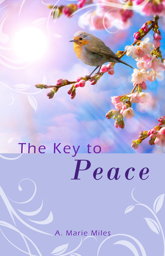# The Key to Peace

A. Marie Miles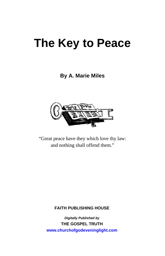# **The Key to Peace**

### **By A. Marie Miles**



"Great peace have they which love thy law: and nothing shall offend them."

#### **FAITH PUBLISHING HOUSE**

*Digitally Published by*  **THE GOSPEL TRUTH www.churchofgodeveninglight.com**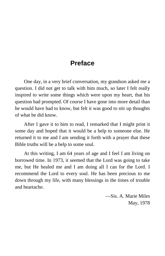# **Preface**

One day, in a very brief conversation, my grandson asked me a question. I did not get to talk with him much, so later I felt really inspired to write some things which were upon my heart, that his question had prompted. Of course I have gone into more detail than he would have had to know, but felt it was good to stir up thoughts of what he did know.

After I gave it to him to read, I remarked that I might print it some day and hoped that it would be a help to someone else. He returned it to me and I am sending it forth with a prayer that these Bible truths will be a help to some soul.

At this writing, I am 64 years of age and I feel I am living on borrowed time. In 1973, it seemed that the Lord was going to take me, but He healed me and I am doing all I can for the Lord. I recommend the Lord to every soul. He has been precious to me down through my life, with many blessings in the times of trouble and heartache.

> —Sis. A. Marie Miles May, 1978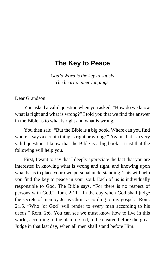# **The Key to Peace**

*God's Word is the key to satisfy The heart's inner longings*.

Dear Grandson:

You asked a valid question when you asked, "How do we know what is right and what is wrong?" I told you that we find the answer in the Bible as to what is right and what is wrong.

You then said, "But the Bible is a big book. Where can you find where it says a certain thing is right or wrong?" Again, that is a very valid question. I know that the Bible is a big book. I trust that the following will help you.

First, I want to say that I deeply appreciate the fact that you are interested in knowing what is wrong and right, and knowing upon what basis to place your own personal understanding. This will help you find the key to peace in your soul. Each of us is individually responsible to God. The Bible says, "For there is no respect of persons with God." Rom. 2:11. "In the day when God shall judge the secrets of men by Jesus Christ according to my gospel." Rom. 2:16. "Who [or God] will render to every man according to his deeds." Rom. 2:6. You can see we must know how to live in this world, according to the plan of God, to be cleared before the great Judge in that last day, when all men shall stand before Him.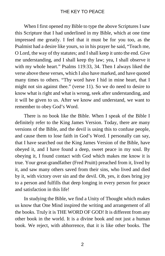When I first opened my Bible to type the above Scriptures I saw this Scripture that I had underlined in my Bible, which at one time impressed me greatly. I feel that it must be for you too, as the Psalmist had a desire like yours, so in his prayer he said, "Teach me, O Lord, the way of thy statutes; and I shall keep it unto the end. Give me understanding, and I shall keep thy law; yea, I shall observe it with my whole heart." Psalms 119:33, 34. Then I always liked the verse above these verses, which I also have marked, and have quoted many times to others. "Thy word have I hid in mine heart, that I might not sin against thee." (verse 11). So we do need to desire to know what is right and what is wrong, seek after understanding, and it will be given to us. After we know and understand, we want to remember to obey God's Word.

There is no book like the Bible. When I speak of the Bible I definitely refer to the King James Version. Today, there are many versions of the Bible, and the devil is using this to confuse people, and cause them to lose faith in God's Word. I personally can say, that I have searched out the King James Version of the Bible, have obeyed it, and I have found a deep, sweet peace in my soul. By obeying it, I found contact with God which makes me know it is true. Your great-grandfather (Fred Pruitt) preached from it, lived by it, and saw many others saved from their sins, who lived and died by it, with victory over sin and the devil. Oh, yes, it does bring joy to a person and fulfills that deep longing in every person for peace and satisfaction in this life!

In studying the Bible, we find a Unity of Thought which makes us know that One Mind inspired the writing and arrangement of all the books. Truly it is THE WORD OF GOD! It is different from any other book in the world. It is a divine book and not just a human book. We reject, with abhorrence, that it is like other books. The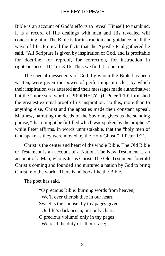Bible is an account of God's efforts to reveal Himself to mankind. It is a record of His dealings with man and His revealed will concerning him. The Bible is for instruction and guidance in all the ways of life. From all the facts that the Apostle Paul gathered he said, "All Scripture is given by inspiration of God, and is profitable for doctrine, for reproof, for correction, for instruction in righteousness." II Tim. 3:16. Thus we find it to be true.

The special messengers of God, by whom the Bible has been written, were given the power of performing miracles, by which their inspiration was attested and their messages made authoritative; but the "more sure word of PROPHECY" (II Peter 1:19) furnished the greatest external proof of its inspiration. To this, more than to anything else, Christ and the apostles made their constant appeal. Matthew, narrating the deeds of the Saviour, gives us the standing phrase, "that it might be fulfilled which was spoken by the prophets" while Peter affirms, in words unmistakable, that the "holy men of God spake as they were moved by the Holy Ghost." II Peter 1:21.

Christ is the center and heart of the whole Bible. The Old Bible or Testament is an account of a Nation. The New Testament is an account of a Man, who is Jesus Christ. The Old Testament foretold Christ's coming and founded and nurtured a nation by God to bring Christ into the world. There is no book like the Bible.

The poet has said,

"O precious Bible! burning words from heaven, We'll ever cherish thee in our heart. Sweet is the counsel by thy pages given On life's dark ocean, our only chart. O precious volume! only in thy pages We read the duty of all our race;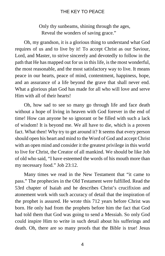Only thy sunbeams, shining through the ages, Reveal the wonders of saving grace."

Oh, my grandson, it is a glorious thing to understand what God requires of us and to live by it! To accept Christ as our Saviour, Lord, and Master, to strive sincerely and devotedly to follow in the path that He has mapped out for us in this life, is the most wonderful, the most reasonable, and the most satisfactory way to live. It means peace in our hearts, peace of mind, contentment, happiness, hope, and an assurance of a life beyond the grave that shall never end. What a glorious plan God has made for all who will love and serve Him with all of their hearts!

Oh, how sad to see so many go through life and face death without a hope of living in heaven with God forever in the end of time! How can anyone be so ignorant or be filled with such a lack of wisdom! It is beyond me. We all have to die, which is a proven fact. What then! Why try to get around it? It seems that every person should open his heart and mind to the Word of God and accept Christ with an open mind and consider it the greatest privilege in this world to live for Christ, the Creator of all mankind. We should be like Job of old who said, "I have esteemed the words of his mouth more than my necessary food." Job 23:12.

Many times we read in the New Testament that "it came to pass." The prophecies in the Old Testament were fulfilled. Read the 53rd chapter of Isaiah and he describes Christ's crucifixion and atonement work with such accuracy of detail that the inspiration of the prophet is assured. He wrote this 712 years before Christ was born. He only had from the prophets before him the fact that God had told them that God was going to send a Messiah. So only God could inspire Him to write in such detail about his sufferings and death. Oh, there are so many proofs that the Bible is true! Jesus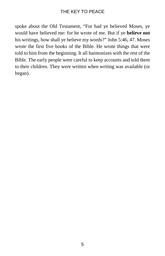spoke about the Old Testament, "For had ye believed Moses, ye would have believed me: for he wrote of me. But if ye **believe not** his writings, how shall ye believe my words?" John 5:46, 47. Moses wrote the first five books of the Bible. He wrote things that were told to him from the beginning. It all harmonizes with the rest of the Bible. The early people were careful to keep accounts and told them to their children. They were written when writing was available (or began).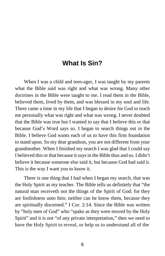# **What Is Sin?**

When I was a child and teen-ager, I was taught by my parents what the Bible said was right and what was wrong. Many other doctrines in the Bible were taught to me. I read them in the Bible, believed them, lived by them, and was blessed in my soul and life. There came a time in my life that I began to desire for God to teach me personally what was right and what was wrong. I never doubted that the Bible was true but I wanted to say that I believe this or that because God's Word says so. I began to search things out in the Bible. I believe God wants each of us to have this firm foundation to stand upon. So my dear grandson, you are not different from your grandmother. When I finished my search I was glad that I could say I believed this or that because it says in the Bible thus and so. I didn't believe it because someone else said it, but because God had said it. This is the way I want you to know it.

There is one thing that I had when I began my search, that was the Holy Spirit as my teacher. The Bible tells us definitely that "the natural man receiveth not the things of the Spirit of God: for they are foolishness unto him: neither can he know them, because they are spiritually discerned." I Cor. 2:14. Since the Bible was written by "holy men of God" who "spake as they were moved by the Holy Spirit" and it is not "of any private interpretation," then we need to have the Holy Spirit to reveal, or help us to understand all of the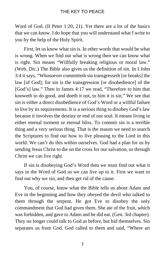Word of God. (II Peter 1:20, 21). Yet there are a lot of the basics that we can know. I do hope that you will understand what I write to you by the help of the Holy Spirit.

First, let us know what sin is. In other words that would be what is wrong. When we find out what is wrong then we can know what is right. Sin means "Willfully breaking religious or moral law." (Web. Dic.) The Bible also gives us the definition of sin. In I John 3:4 it says, "Whosoever committeth sin transgresseth [or breaks] the law [of God]; for sin is the transgression [or disobedience] of the [God's] law." Then in James 4:17 we read, "Therefore to him that knoweth to do good, and doeth it not, to him it is sin." We see that sin is either a direct disobedience of God's Word or a willful failure to live by its requirements. It is a serious thing to disobey God's law because it involves the destiny or end of our soul. It means living in either eternal torment or eternal bliss. To commit sin is a terrible thing and a very serious thing. That is the reason we need to search the Scriptures to find out how to live pleasing to the Lord in this world. We can't do this within ourselves. God had a plan for us by sending Jesus Christ to die on the cross for our salvation, so through Christ we can live right.

If sin is disobeying God's Word then we must find out what it says in the Word of God so we can live up to it. First we want to find out why we sin, and then get rid of the cause.

You, of course, know what the Bible tells us about Adam and Eve in the beginning and how they obeyed the devil who talked to them through the serpent. He got Eve to disobey the only commandment that God had given them. She ate of the fruit, which was forbidden, and gave to Adam and he did eat. (Gen. 3rd chapter). They no longer could talk to God as before, but hid themselves. Sin separates us from God. God called to them and said, "Where art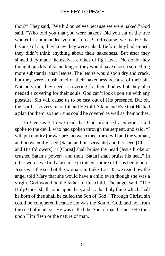thou?" They said, "We hid ourselves because we were naked." God said, "Who told you that you were naked? Did you eat of the tree whereof I commanded you not to eat?" Of course, we realize that because of sin, they knew they were naked. Before they had sinned, they didn't think anything about their nakedness. But after they sinned they made themselves clothes of fig leaves. No doubt they thought quickly of something or they would have chosen something more substantial than leaves. The leaves would soon dry and crack, but they were so ashamed of their nakedness because of their sin. Not only did they need a covering for their bodies but they also needed a covering for their souls. God can't look upon sin with any pleasure. Sin will cause us to be cast out of His presence. But oh, the Lord is so very merciful and He told Adam and Eve that He had a plan for them, so their sins could be covered as well as their bodies.

In Genesis 3:15 we read that God promised a Saviour. God spoke to the devil, who had spoken through the serpent, and said, "I will put enmity [or warfare] between thee [the devil] and the woman, and between thy seed [Satan and his servants] and her seed [Christ and His followers]; it [Christ] shall bruise thy head [Jesus broke or crushed Satan's power], and thou [Satan] shalt bruise his heel." In other words we find a promise in this Scripture of Jesus being born. Jesus was the seed of the woman. In Luke 1:31-35 we read how the angel told Mary that she would have a child even though she was a virgin. God would be the father of this child. The angel said, "The Holy Ghost shall come upon thee, and … that holy thing which shall be born of thee shall be called the Son of God." Through Christ, sin could be conquered because He was the Son of God, and not from the seed of man, yet He was called the Son of man because He took upon Him flesh or the nature of man.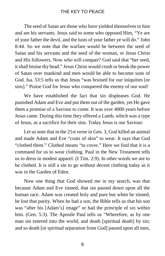The seed of Satan are those who have yielded themselves to him and are his servants. Jesus said to some who opposed Him, "Ye are of your father the devil, and the lusts of your father ye will do." John 8:44. So we note that the warfare would be between the seed of Satan and his servants and the seed of the woman, or Jesus Christ and His followers. Now who will conquer? God said that "her seed, it shall bruise thy head." Jesus Christ would crush or break the power of Satan over mankind and men would be able to become sons of God. Isa. 53:5 tells us that Jesus "was bruised for our iniquities [or sins]." Praise God for Jesus who conquered the enemy of our soul!

We have established the fact that sin displeases God. He punished Adam and Eve and put them out of the garden, yet He gave them a promise of a Saviour to come. It was over 4000 years before Jesus came. During this time they offered a Lamb, which was a type of Jesus, as a sacrifice for their sins. Today Jesus is our Saviour.

Let us note that in the 21st verse in Gen. 3, God killed an animal and made Adam and Eve "coats of skin" to wear. It says that God "clothed them." *Clothed* means "to cover." Here we find that it is a command for us to wear clothing. Paul in the New Testament tells us to dress in modest apparel. (I Tim. 2:9). In other words we are to be clothed. It is still a sin to go without decent clothing today as it was in the Garden of Eden.

Now one thing that God showed me in my search, was that because Adam and Eve sinned, that sin passed down upon all the human race. Adam was created holy and pure but when he sinned, he lost that purity. When he had a son, the Bible tells us that his son was "after his [Adam's] image" or had the principle of sin within him. (Gen. 5:3). The Apostle Paul tells us "Wherefore, as by one man sin entered into the world, and death [spiritual death] by sin; and so death [or spiritual separation from God] passed upon all men,

9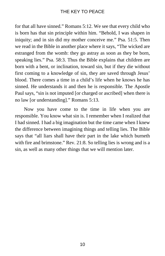for that all have sinned." Romans 5:12. We see that every child who is born has that sin principle within him. "Behold, I was shapen in iniquity; and in sin did my mother conceive me." Psa. 51:5. Then we read in the Bible in another place where it says, "The wicked are estranged from the womb: they go astray as soon as they be born, speaking lies." Psa. 58:3. Thus the Bible explains that children are born with a bent, or inclination, toward sin, but if they die without first coming to a knowledge of sin, they are saved through Jesus' blood. There comes a time in a child's life when he knows he has sinned. He understands it and then he is responsible. The Apostle Paul says, "sin is not imputed [or charged or ascribed] when there is no law [or understanding]." Romans 5:13.

Now you have come to the time in life when you are responsible. You know what sin is. I remember when I realized that I had sinned. I had a big imagination but the time came when I knew the difference between imagining things and telling lies. The Bible says that "all liars shall have their part in the lake which burneth with fire and brimstone." Rev. 21:8. So telling lies is wrong and is a sin, as well as many other things that we will mention later.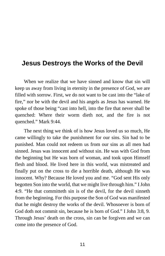# **Jesus Destroys the Works of the Devil**

When we realize that we have sinned and know that sin will keep us away from living in eternity in the presence of God, we are filled with sorrow. First, we do not want to be cast into the "lake of fire," nor be with the devil and his angels as Jesus has warned. He spoke of those being "cast into hell, into the fire that never shall be quenched: Where their worm dieth not, and the fire is not quenched." Mark 9:44.

The next thing we think of is how Jesus loved us so much, He came willingly to take the punishment for our sins. Sin had to be punished. Man could not redeem us from our sins as all men had sinned. Jesus was innocent and without sin. He was with God from the beginning but He was born of woman, and took upon Himself flesh and blood. He lived here in this world, was mistreated and finally put on the cross to die a horrible death, although He was innocent. Why? Because He loved you and me. "God sent His only begotten Son into the world, that we might live through him." I John 4:9. "He that committeth sin is of the devil, for the devil sinneth from the beginning. For this purpose the Son of God was manifested that he might destroy the works of the devil. Whosoever is born of God doth not commit sin, because he is born of God." I John 3:8, 9. Through Jesus' death on the cross, sin can be forgiven and we can come into the presence of God.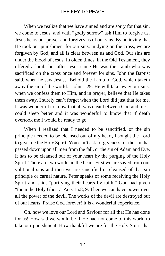When we realize that we have sinned and are sorry for that sin, we come to Jesus, and with "godly sorrow" ask Him to forgive us. Jesus hears our prayer and forgives us of our sins. By believing that He took our punishment for our sins, in dying on the cross, we are forgiven by God, and all is clear between us and God. Our sins are under the blood of Jesus. In olden times, in the Old Testament, they offered a lamb, but after Jesus came He was the Lamb who was sacrificed on the cross once and forever for sins. John the Baptist said, when he saw Jesus, "Behold the Lamb of God, which taketh away the sin of the world." John 1:29. He will take away our sins, when we confess them to Him, and in prayer, believe that He takes them away. I surely can't forget when the Lord did just that for me. It was wonderful to know that all was clear between God and me. I could sleep better and it was wonderful to know that if death overtook me I would be ready to go.

When I realized that I needed to be sanctified, or the sin principle needed to be cleansed out of my heart, I sought the Lord to give me the Holy Spirit. You can't ask forgiveness for the sin that passed down upon all men from the fall, or the sin of Adam and Eve. It has to be cleansed out of your heart by the purging of the Holy Spirit. There are two works in the heart. First we are saved from our volitional sins and then we are sanctified or cleansed of that sin principle or carnal nature. Peter speaks of some receiving the Holy Spirit and said, "purifying their hearts by faith." God had given "them the Holy Ghost." Acts 15:8, 9. Then we can have power over all the power of the devil. The works of the devil are destroyed out of our hearts. Praise God forever! It is a wonderful experience.

Oh, how we love our Lord and Saviour for all that He has done for us! How sad we would be if He had not come to this world to take our punishment. How thankful we are for the Holy Spirit that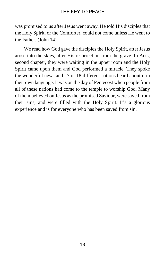was promised to us after Jesus went away. He told His disciples that the Holy Spirit, or the Comforter, could not come unless He went to the Father. (John 14).

We read how God gave the disciples the Holy Spirit, after Jesus arose into the skies, after His resurrection from the grave. In Acts, second chapter, they were waiting in the upper room and the Holy Spirit came upon them and God performed a miracle. They spoke the wonderful news and 17 or 18 different nations heard about it in their own language. It was on the day of Pentecost when people from all of these nations had come to the temple to worship God. Many of them believed on Jesus as the promised Saviour, were saved from their sins, and were filled with the Holy Spirit. It's a glorious experience and is for everyone who has been saved from sin.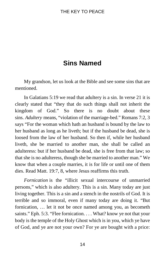# **Sins Named**

My grandson, let us look at the Bible and see some sins that are mentioned.

In Galatians 5:19 we read that adultery is a sin. In verse 21 it is clearly stated that "they that do such things shall not inherit the kingdom of God." So there is no doubt about these sins. *Adultery* means, "violation of the marriage-bed." Romans 7:2, 3 says "For the woman which hath an husband is bound by the law to her husband as long as he liveth; but if the husband be dead, she is loosed from the law of her husband. So then if, while her husband liveth, she be married to another man, she shall be called an adulteress: but if her husband be dead, she is free from that law; so that she is no adulteress, though she be married to another man." We know that when a couple marries, it is for life or until one of them dies. Read Matt. 19:7, 8, where Jesus reaffirms this truth.

*Fornication* is the "illicit sexual intercourse of unmarried persons," which is also adultery. This is a sin. Many today are just living together. This is a sin and a stench in the nostrils of God. It is terrible and so immoral, even if many today are doing it. "But fornication, … let it not be once named among you, as becometh saints." Eph. 5:3. "Flee fornication. . . . What? know ye not that your body is the temple of the Holy Ghost which is in you, which ye have of God, and ye are not your own? For ye are bought with a price: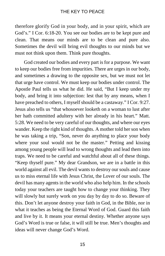therefore glorify God in your body, and in your spirit, which are God's." I Cor. 6:18-20. You see our bodies are to be kept pure and clean. That means our minds are to be clean and pure also. Sometimes the devil will bring evil thoughts to our minds but we must not think upon them. Think pure thoughts.

God created our bodies and every part is for a purpose. We want to keep our bodies free from impurities. There are urges in our body, and sometimes a drawing to the opposite sex, but we must not let that urge have control. We must keep our bodies under control. The Apostle Paul tells us what he did. He said, "But I keep under my body, and bring it into subjection: lest that by any means, when I have preached to others, I myself should be a castaway." I Cor. 9:27. Jesus also tells us "that whosoever looketh on a woman to lust after her hath committed adultery with her already in his heart." Matt. 5:28. We need to be very careful of our thoughts, and where our eyes wander. Keep the right kind of thoughts. A mother told her son when he was taking a trip, "Son, never do anything to place your body where your soul would not be the master." Petting and kissing among young people will lead to wrong thoughts and lead them into traps. We need to be careful and watchful about all of these things. "Keep thyself pure." My dear Grandson, we are in a battle in this world against all evil. The devil wants to destroy our souls and cause us to miss eternal life with Jesus Christ, the Lover of our souls. The devil has many agents in the world who also help him. In the schools today your teachers are taught how to change your thinking. They will slowly but surely work on you day by day to do so. Beware of this. Don't let anyone destroy your faith in God, in the Bible, nor in what it teaches as being the Eternal Word of God. Guard this faith and live by it. It means your eternal destiny. Whether anyone says God's Word is true or false, it will still be true. Men's thoughts and ideas will never change God's Word.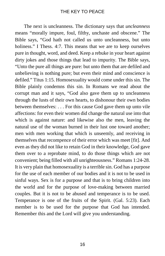The next is uncleanness. The dictionary says that *uncleanness* means "morally impure, foul, filthy, unchaste and obscene." The Bible says, "God hath not called us unto uncleanness, but unto holiness." I Thess. 4:7. This means that we are to keep ourselves pure in thought, word, and deed. Keep a rebuke in your heart against dirty jokes and those things that lead to impurity. The Bible says, "Unto the pure all things are pure: but unto them that are defiled and unbelieving is nothing pure; but even their mind and conscience is defiled." Titus 1:15. Homosexuality would come under this sin. The Bible plainly condemns this sin. In Romans we read about the corrupt man and it says, "God also gave them up to uncleanness through the lusts of their own hearts, to dishonour their own bodies between themselves: . . . For this cause God gave them up unto vile affections: for even their women did change the natural use into that which is against nature: and likewise also the men, leaving the natural use of the woman burned in their lust one toward another; men with men working that which is unseemly, and receiving in themselves that recompence of their error which was meet [fit]. And even as they did not like to retain God in their knowledge, God gave them over to a reprobate mind, to do those things which are not convenient; being filled with all unrighteousness." Romans 1:24-28. It is very plain that homosexuality is a terrible sin. God has a purpose for the use of each member of our bodies and it is not to be used in sinful ways. Sex is for a purpose and that is to bring children into the world and for the purpose of love-making between married couples. But it is not to be abused and temperance is to be used. Temperance is one of the fruits of the Spirit. (Gal. 5:23). Each member is to be used for the purpose that God has intended. Remember this and the Lord will give you understanding.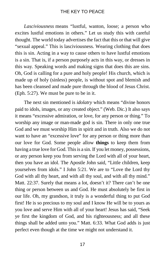*Lasciviousness* means "lustful, wanton, loose; a person who excites lustful emotions in others." Let us study this with careful thought. The world today advertises the fact that this or that will give "sexual appeal." This is lasciviousness. Wearing clothing that does this is sin. Acting in a way to cause others to have lustful emotions is a sin. That is, if a person purposely acts in this way, or dresses in this way. Speaking words and making signs that does this are sins. Oh, God is calling for a pure and holy people! His church, which is made up of holy (sinless) people, is without spot and blemish and has been cleansed and made pure through the blood of Jesus Christ. (Eph. 5:27). We must be pure to be in it.

The next sin mentioned is *idolatry* which means "divine honors paid to idols, images, or any created object." (Web. Dic.) It also says it means "excessive admiration, or love, for any person or thing." To worship any image or man-made god is sin. There in only one true God and we must worship Him in spirit and in truth. Also we do not want to have an "excessive love" for any person or thing more than our love for God. Some people allow **things** to keep them from having a true love for God. This is a sin. If you let money, possessions, or any person keep you from serving the Lord with all of your heart, then you have an idol. The Apostle John said, "Little children, keep yourselves from idols." I John 5:21. We are to "Love the Lord thy God with all thy heart, and with all thy soul, and with all thy mind." Matt. 22:37. Surely that means a lot, doesn't it? There can't be one thing or person between us and God. He must absolutely be first in our life. Oh, my grandson, it truly is a wonderful thing to put God first! He is so precious to my soul and I know He will be to yours as you love and serve Him with all of your heart! Jesus has said, "Seek ye first the kingdom of God, and his righteousness; and all these things shall be added unto you." Matt. 6:33. What God adds is just perfect even though at the time we might not understand it.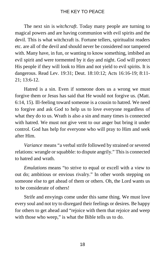The next sin is *witchcraft*. Today many people are turning to magical powers and are having communion with evil spirits and the devil. This is what witchcraft is. Fortune tellers, spiritualist readers etc. are all of the devil and should never be considered nor tampered with. Many have, in fun, or wanting to know something, imbibed an evil spirit and were tormented by it day and night. God will protect His people if they will look to Him and not yield to evil spirits. It is dangerous. Read Lev. 19:31; Deut. 18:10:12; Acts 16:16-19; 8:11- 21; 13:6-12.

Hatred is a sin. Even if someone does us a wrong we must forgive them or Jesus has said that He would not forgive us. (Matt. 6:14, 15). Ill-feeling toward someone is a cousin to hatred. We need to forgive and ask God to help us to love everyone regardless of what they do to us. Wrath is also a sin and many times is connected with hatred. We must not give vent to our anger but bring it under control. God has help for everyone who will pray to Him and seek after Him.

*Variance* means "a verbal strife followed by strained or severed relations: wrangle or squabble: to dispute angrily." This is connected to hatred and wrath.

*Emulations* means "to strive to equal or excell with a view to out do; ambitious or envious rivalry." In other words stepping on someone else to get ahead of them or others. Oh, the Lord wants us to be considerate of others!

Strife and envyings come under this same thing. We must love every soul and not try to disregard their feelings or desires. Be happy for others to get ahead and "rejoice with them that rejoice and weep with those who weep," is what the Bible tells us to do.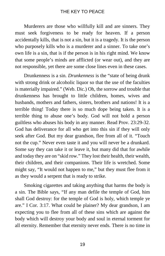Murderers are those who willfully kill and are sinners. They must seek forgiveness to be ready for heaven. If a person accidentally kills, that is not a sin, but it is a tragedy. It is the person who purposely kills who is a murderer and a sinner. To take one's own life is a sin, that is if the person is in his right mind. We know that some people's minds are afflicted (or wear out), and they are not responsible, yet there are some close lines even in these cases.

Drunkenness is a sin. *Drunkenness* is the "state of being drunk with strong drink or alcoholic liquor so that the use of the faculties is materially impaired." (Web. Dic.) Oh, the sorrow and trouble that drunkenness has brought to little children, homes, wives and husbands, mothers and fathers, sisters, brothers and nations! It is a terrible thing! Today there is so much dope being taken. It is a terrible thing to abuse one's body. God will not hold a person guiltless who abuses his body in any manner. Read Prov. 23:29-32. God has deliverance for all who get into this sin if they will only seek after God. But my dear grandson, flee from all of it. "Touch not the cup." Never even taste it and you will never be a drunkard. Some say they can take it or leave it, but many did that for awhile and today they are on "skid row." They lost their health, their wealth, their children, and their companions. Their life is wretched. Some might say, "It would not happen to me," but they must flee from it as they would a serpent that is ready to strike.

Smoking cigarettes and taking anything that harms the body is a sin. The Bible says, "If any man defile the temple of God, him shall God destroy: for the temple of God is holy, which temple ye are." I Cor. 3:17. What could be plainer? My dear grandson, I am expecting you to flee from all of these sins which are against the body which will destroy your body and soul in eternal torment for all eternity. Remember that eternity never ends. There is no time in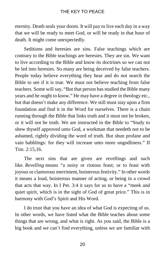eternity. Death seals your doom. It will pay to live each day in a way that we will be ready to meet God, or will be ready in that hour of death. It might come unexpectedly.

Seditions and heresies are sins. False teachings which are contrary to the Bible teachings are heresies. They are sin. We want to live according to the Bible and know its doctrines so we can not be led into heresies. So many are being deceived by false teachers. People today believe everything they hear and do not search the Bible to see if it is true. We must not believe teaching from false teachers. Some will say, "But that person has studied the Bible many years and he ought to know." He may have a degree in theology etc., but that doesn't make any difference. We still must stay upon a firm foundation and find it in the Word for ourselves. There is a chain running through the Bible that links truth and it must not be broken, or it will not be truth. We are instructed in the Bible to "Study to shew thyself approved unto God, a workman that needeth not to be ashamed, rightly dividing the word of truth. But shun profane and vain babblings: for they will increase unto more ungodliness." II Tim. 2:15,16.

The next sins that are given are revellings and such like. *Revelling* means "a noisy or riotous feast; or to feast with joyous or clamorous merriment, boisterous festivity." In other words it means a loud, boisterous manner of acting, or being in a crowd that acts that way. In I Pet. 3:4 it says for us to have a "meek and quiet spirit, which is in the sight of God of great price." This is in harmony with God's Spirit and His Word.

I do trust that you have an idea of what God is expecting of us. In other words, we have listed what the Bible teaches about some things that are wrong, and what is right. As you said, the Bible is a big book and we can't find everything, unless we are familiar with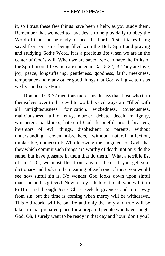it, so I trust these few things have been a help, as you study them. Remember that we need to have Jesus to help us daily to obey the Word of God and be ready to meet the Lord. First, it takes being saved from our sins, being filled with the Holy Spirit and praying and studying God's Word. It is a precious life when we are in the center of God's will. When we are saved, we can have the fruits of the Spirit in our life which are named in Gal. 5:22,23. They are love, joy, peace, longsuffering, gentleness, goodness, faith, meekness, temperance and many other good things that God will give to us as we live and serve Him.

Romans 1:29-32 mentions more sins. It says that those who turn themselves over to the devil to work his evil ways are "filled with all unrighteousness, fornication, wickedness, covetousness, maliciousness, full of envy, murder, debate, deceit, malignity, whisperers, backbiters, haters of God, despiteful, proud, boasters, inventors of evil things, disobedient to parents, without understanding, covenant-breakers, without natural affection, implacable, unmerciful: Who knowing the judgment of God, that they which commit such things are worthy of death, not only do the same, but have pleasure in them that do them." What a terrible list of sins! Oh, we must flee from any of them. If you get your dictionary and look up the meaning of each one of these you would see how sinful sin is. No wonder God looks down upon sinful mankind and is grieved. Now mercy is held out to all who will turn to Him and through Jesus Christ seek forgiveness and turn away from sin, but the time is coming when mercy will be withdrawn. This old world will be on fire and only the holy and true will be taken to that prepared place for a prepared people who have sought God. Oh, I surely want to be ready in that day and hour, don't you?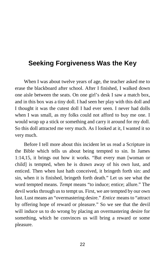# **Seeking Forgiveness Was the Key**

When I was about twelve years of age, the teacher asked me to erase the blackboard after school. After I finished, I walked down one aisle between the seats. On one girl's desk I saw a match box, and in this box was a tiny doll. I had seen her play with this doll and I thought it was the cutest doll I had ever seen. I never had dolls when I was small, as my folks could not afford to buy me one. I would wrap up a stick or something and carry it around for my doll. So this doll attracted me very much. As I looked at it, I wanted it so very much.

Before I tell more about this incident let us read a Scripture in the Bible which tells us about being tempted to sin. In James 1:14,15, it brings out how it works. "But every man [woman or child] is tempted, when he is drawn away of his own lust, and enticed. Then when lust hath conceived, it bringeth forth sin: and sin, when it is finished, bringeth forth death." Let us see what the word tempted means. *Tempt* means "to induce; entice; allure." The devil works through us to tempt us. First, we are tempted by our own lust. Lust means an "overmastering desire." *Entice* means to "attract by offering hope of reward or pleasure." So we see that the devil will induce us to do wrong by placing an overmastering desire for something, which he convinces us will bring a reward or some pleasure.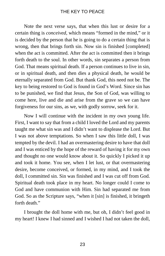Note the next verse says, that when this lust or desire for a certain thing is *conceived*, which means "formed in the mind," or it is decided by the person that he is going to do a certain thing that is wrong, then that brings forth sin. Now sin is finished [completed] when the act is committed. After the act is committed then it brings forth death to the soul. In other words, sin separates a person from God. That means spiritual death. If a person continues to live in sin, or in spiritual death, and then dies a physical death, he would be eternally separated from God. But thank God, this need not be. The key to being restored to God is found in God's Word. Since sin has to be punished, we find that Jesus, the Son of God, was willing to come here, live and die and arise from the grave so we can have forgiveness for our sins, as we, with godly sorrow, seek for it.

Now I will continue with the incident in my own young life. First, I want to say that from a child I loved the Lord and my parents taught me what sin was and I didn't want to displease the Lord. But I was not above temptations. So when I saw this little doll, I was tempted by the devil. I had an overmastering desire to have that doll and I was enticed by the hope of the reward of having it for my own and thought no one would know about it. So quickly I picked it up and took it home. You see, when I let lust, or that overmastering desire, become conceived, or formed, in my mind, and I took the doll, I committed sin. Sin was finished and I was cut off from God. Spiritual death took place in my heart. No longer could I come to God and have communion with Him. Sin had separated me from God. So as the Scripture says, "when it [sin] is finished, it bringeth forth death."

I brought the doll home with me, but oh, I didn't feel good in my heart! I knew I had sinned and I wished I had not taken the doll,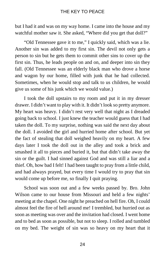but I had it and was on my way home. I came into the house and my watchful mother saw it. She asked, "Where did you get that doll?"

"Old Tennessee gave it to me," I quickly said, which was a lie. Another sin was added to my first sin. The devil not only gets a person to sin but he gets them to commit other sins to cover up the first sin. Thus, he leads people on and on, and deeper into sin they fall. (Old Tennessee was an elderly black man who drove a horse and wagon by our home, filled with junk that he had collected. Sometimes, when he would stop and talk to us children, he would give us some of his junk which we would value.)

I took the doll upstairs to my room and put it in my dresser drawer. I didn't want to play with it. It didn't look so pretty anymore. My heart was heavy. I didn't rest very well that night as I dreaded going back to school. I just knew the teacher would guess that I had taken the doll. To my surprise, nothing was said the next day about the doll. I avoided the girl and hurried home after school. But yet the fact of stealing that doll weighed heavily on my heart. A few days later I took the doll out in the alley and took a brick and smashed it all to pieces and buried it, but that didn't take away the sin or the guilt. I had sinned against God and was still a liar and a thief. Oh, how bad I felt! I had been taught to pray from a little child, and had always prayed, but every time I would try to pray that sin would come up before me, so finally I quit praying.

School was soon out and a few weeks passed by. Bro. John Wilson came to our house from Missouri and held a few nights' meeting at the chapel. One night he preached on hell fire. Oh, I could almost feel the fire of hell around me! I trembled, but hurried out as soon as meeting was over and the invitation had closed. I went home and to bed as soon as possible, but not to sleep. I rolled and tumbled on my bed. The weight of sin was so heavy on my heart that it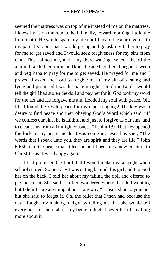seemed the mattress was on top of me instead of me on the mattress. I knew I was on the road to hell. Finally, toward morning, I told the Lord that if He would spare my life until I heard the alarm go off in my parent's room that I would get up and go ask my father to pray for me to get saved and I would seek forgiveness for my sins from God. This calmed me, and I lay there waiting. When I heard the alarm, I ran to their room and knelt beside their bed. I began to weep and beg Papa to pray for me to get saved. He prayed for me and I prayed. I asked the Lord to forgive me of my sin of stealing and lying and promised I would make it right. I told the Lord I would tell the girl I had stolen the doll and pay her for it. God took my word for the act and He forgave me and flooded my soul with peace. Oh, I had found the key to peace for my inner longings! The key was a desire to find peace and then obeying God's Word which said, "If we confess our sins, he is faithful and just to forgive us our sins, and to cleanse us from all unrighteousness." I John 1:9. That key opened the lock to my heart and let Jesus come in. Jesus has said, "The words that I speak unto you, they are spirit and they are life." John 6:63b. Oh, the peace that filled me and I became a new creature in Christ Jesus! I was happy again.

I had promised the Lord that I would make my sin right when school started. So one day I was sitting behind this girl and I tapped her on the back. I told her about my taking the doll and offered to pay her for it. She said, "I often wondered where that doll went to, but I didn't care anything about it anyway." I insisted on paying her but she said to forget it. Oh, the relief that I then had because the devil fought my making it right by telling me that she would tell every one in school about my being a thief. I never heard anything more about it.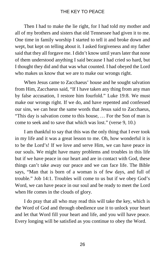Then I had to make the lie right, for I had told my mother and all of my brothers and sisters that old Tennessee had given it to me. One time in family worship I started to tell it and broke down and wept, but kept on telling about it. I asked forgiveness and my father said that they all forgave me. I didn't know until years later that none of them understood anything I said because I had cried so hard, but I thought they did and that was what counted. I had obeyed the Lord who makes us know that we are to make our wrongs right.

When Jesus came to Zacchaeus' house and he sought salvation from Him, Zacchaeus said, "If I have taken any thing from any man by false accusation, I restore him fourfold." Luke 19:8. We must make our wrongs right. If we do, and have repented and confessed our sins, we can hear the same words that Jesus said to Zacchaeus, "This day is salvation come to this house, … For the Son of man is come to seek and to save that which was lost." (verse 9, 10.)

I am thankful to say that this was the only thing that I ever took in my life and it was a great lesson to me. Oh, how wonderful it is to be the Lord's! If we love and serve Him, we can have peace in our souls. We might have many problems and troubles in this life but if we have peace in our heart and are in contact with God, these things can't take away our peace and we can face life. The Bible says, "Man that is born of a woman is of few days, and full of trouble." Job 14:1. Troubles will come to us but if we obey God's Word, we can have peace in our soul and be ready to meet the Lord when He comes in the clouds of glory.

I do pray that all who may read this will take the key, which is the Word of God and through obedience use it to unlock your heart and let that Word fill your heart and life, and you will have peace. Every longing will be satisfied as you continue to obey the Word.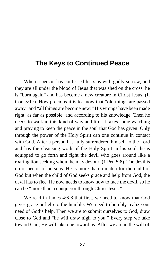# **The Keys to Continued Peace**

When a person has confessed his sins with godly sorrow, and they are all under the blood of Jesus that was shed on the cross, he is "born again" and has become a new creature in Christ Jesus. (II Cor. 5:17). How precious it is to know that "old things are passed away" and "all things are become new!" His wrongs have been made right, as far as possible, and according to his knowledge. Then he needs to walk in this kind of way and life. It takes some watching and praying to keep the peace in the soul that God has given. Only through the power of the Holy Spirit can one continue in contact with God. After a person has fully surrendered himself to the Lord and has the cleansing work of the Holy Spirit in his soul, he is equipped to go forth and fight the devil who goes around like a roaring lion seeking whom he may devour. (1 Pet. 5:8). The devil is no respector of persons. He is more than a match for the child of God but when the child of God seeks grace and help from God, the devil has to flee. He now needs to know how to face the devil, so he can be "more than a conqueror through Christ Jesus."

We read in James 4:6-8 that first, we need to know that God gives grace or help to the humble. We need to humbly realize our need of God's help. Then we are to submit ourselves to God, draw close to God and "he will draw nigh to you." Every step we take toward God, He will take one toward us. After we are in the will of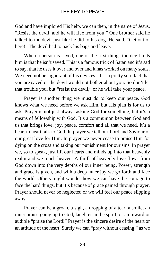God and have implored His help, we can then, in the name of Jesus, "Resist the devil, and he will flee from you." One brother said he talked to the devil just like he did to his dog. He said, "Get out of here!" The devil had to pack his bags and leave.

When a person is saved, one of the first things the devil tells him is that he isn't saved. This is a famous trick of Satan and it's sad to say, that he uses it over and over and it has worked on many souls. We need not be "ignorant of his devices." It's a pretty sure fact that you are saved or the devil would not bother about you. So don't let that trouble you, but "resist the devil," or he will take your peace.

Prayer is another thing we must do to keep our peace. God knows what we need before we ask Him, but His plan is for us to ask. Prayer is not just always asking God for something, but it's a means of fellowship with God. It's a communion between God and us that brings love, joy, peace, comfort and all that we need. It's a heart to heart talk to God. In prayer we tell our Lord and Saviour of our great love for Him. In prayer we never cease to praise Him for dying on the cross and taking our punishment for our sins. In prayer we, so to speak, just lift our hearts and minds up into that heavenly realm and we touch heaven. A thrill of heavenly love flows from God down into the very depths of our inner being. Power, strength and grace is given, and with a deep inner joy we go forth and face the world. Others might wonder how we can have the courage to face the hard things, but it's because of grace gained through prayer. Prayer should never be neglected or we will feel our peace slipping away.

Prayer can be a groan, a sigh, a dropping of a tear, a smile, an inner praise going up to God, laughter in the spirit, or an inward or audible "praise the Lord!" Prayer is the sincere desire of the heart or an attitude of the heart. Surely we can "pray without ceasing," as we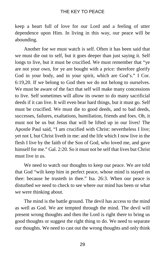keep a heart full of love for our Lord and a feeling of utter dependence upon Him. In living in this way, our peace will be abounding.

Another foe we must watch is self. Often it has been said that we must die out to self, but it goes deeper than just saying it. Self longs to live, but it must be crucified. We must remember that "ye are not your own, for ye are bought with a price: therefore glorify God in your body, and in your spirit, which are God's." I Cor. 6:19,20. If we belong to God then we do not belong to ourselves. We must be aware of the fact that self will make many concessions to live. Self sometimes will allow its owner to do many sacrificial deeds if it can live. It will even bear hard things, but it must go. Self must be crucified. We must die to good deeds, and to bad deeds, successes, failures, exaltations, humiliation, friends and foes. Oh, it must not be us but Jesus that will be lifted up in our lives! The Apostle Paul said, "I am crucified with Christ: nevertheless I live; yet not I, but Christ liveth in me: and the life which I now live in the flesh I live by the faith of the Son of God, who loved me, and gave himself for me." Gal. 2:20. So it must not be self that lives but Christ must live in us.

We need to watch our thoughts to keep our peace. We are told that God "wilt keep him in perfect peace, whose mind is stayed on thee: because he trusteth in thee." Isa. 26:3. When our peace is disturbed we need to check to see where our mind has been or what we were thinking about.

The mind is the battle ground. The devil has access to the mind as well as God. We are tempted through the mind. The devil will present wrong thoughts and then the Lord is right there to bring us good thoughts or suggest the right thing to do. We need to separate our thoughts. We need to cast out the wrong thoughts and only think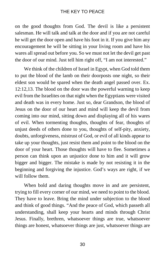on the good thoughts from God. The devil is like a persistent salesman. He will talk and talk at the door and if you are not careful he will get the door open and have his foot in it. If you give him any encouragement he will be sitting in your living room and have his wares all spread out before you. So we must not let the devil get past the door of our mind. Just tell him right off, "I am not interested."

We think of the children of Israel in Egypt, when God told them to put the blood of the lamb on their doorposts one night, so their eldest son would be spared when the death angel passed over. Ex. 12:12,13. The blood on the door was the powerful warning to keep evil from the Israelites on that night when the Egyptians were visited and death was in every home. Just so, dear Grandson, the blood of Jesus on the door of our heart and mind will keep the devil from coming into our mind, sitting down and displaying all of his wares of evil. When tormenting thoughts, thoughts of fear, thoughts of unjust deeds of others done to you, thoughts of self-pity, anxiety, doubts, unforgiveness, mistrust of God, or evil of all kinds appear to take up your thoughts, just resist them and point to the blood on the door of your heart. Those thoughts will have to flee. Sometimes a person can think upon an unjustice done to him and it will grow bigger and bigger. The mistake is made by not resisting it in the beginning and forgiving the injustice. God's ways are right, if we will follow them.

When bold and daring thoughts move in and are persistent, trying to fill every corner of our mind, we need to point to the blood. They have to leave. Bring the mind under subjection to the blood and think of good things. "And the peace of God, which passeth all understanding, shall keep your hearts and minds through Christ Jesus. Finally, brethren, whatsoever things are true, whatsoever things are honest, whatsoever things are just, whatsoever things are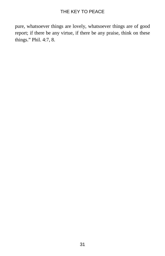pure, whatsoever things are lovely, whatsoever things are of good report; if there be any virtue, if there be any praise, think on these things." Phil. 4:7, 8.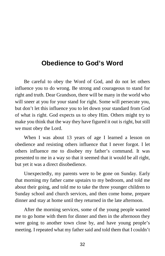# **Obedience to God's Word**

Be careful to obey the Word of God, and do not let others influence you to do wrong. Be strong and courageous to stand for right and truth. Dear Grandson, there will be many in the world who will sneer at you for your stand for right. Some will persecute you, but don't let this influence you to let down your standard from God of what is right. God expects us to obey Him. Others might try to make you think that the way they have figured it out is right, but still we must obey the Lord.

When I was about 13 years of age I learned a lesson on obedience and resisting others influence that I never forgot. I let others influence me to disobey my father's command. It was presented to me in a way so that it seemed that it would be all right, but yet it was a direct disobedience.

Unexpectedly, my parents were to be gone on Sunday. Early that morning my father came upstairs to my bedroom, and told me about their going, and told me to take the three younger children to Sunday school and church services, and then come home, prepare dinner and stay at home until they returned in the late afternoon.

After the morning services, some of the young people wanted me to go home with them for dinner and then in the afternoon they were going to another town close by, and have young people's meeting. I repeated what my father said and told them that I couldn't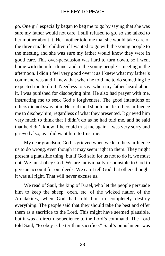go. One girl especially began to beg me to go by saying that she was sure my father would not care. I still refused to go, so she talked to her mother about it. Her mother told me that she would take care of the three smaller children if I wanted to go with the young people to the meeting and she was sure my father would know they were in good care. This over-persuasion was hard to turn down, so I went home with them for dinner and to the young people's meeting in the afternoon. I didn't feel very good over it as I knew what my father's command was and I knew that when he told me to do something he expected me to do it. Needless to say, when my father heard about it, I was punished for disobeying him. He also had prayer with me, instructing me to seek God's forgiveness. The good intentions of others did not sway him. He told me I should not let others influence me to disobey him, regardless of what they presented. It grieved him very much to think that I didn't do as he had told me, and he said that he didn't know if he could trust me again. I was very sorry and grieved also, as I did want him to trust me.

My dear grandson, God is grieved when we let others influence us to do wrong, even though it may seem right to them. They might present a plausible thing, but if God said for us not to do it, we must not. We must obey God. We are individually responsible to God to give an account for our deeds. We can't tell God that others thought it was all right. That will never excuse us.

We read of Saul, the king of Israel, who let the people persuade him to keep the sheep, oxen, etc. of the wicked nation of the Amalakites, when God had told him to completely destroy everything. The people said that they should take the best and offer them as a sacrifice to the Lord. This might have seemed plausible, but it was a direct disobedience to the Lord's command. The Lord told Saul, "to obey is better than sacrifice." Saul's punishment was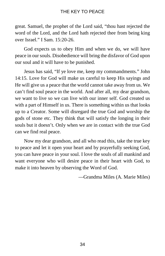great. Samuel, the prophet of the Lord said, "thou hast rejected the word of the Lord, and the Lord hath rejected thee from being king over Israel." I Sam. 15:20-26.

God expects us to obey Him and when we do, we will have peace in our souls. Disobedience will bring the disfavor of God upon our soul and it will have to be punished.

Jesus has said, "If ye love me, keep my commandments." John 14:15. Love for God will make us careful to keep His sayings and He will give us a peace that the world cannot take away from us. We can't find soul peace in the world. And after all, my dear grandson, we want to live so we can live with our inner self. God created us with a part of Himself in us. There is something within us that looks up to a Creator. Some will disregard the true God and worship the gods of stone etc. They think that will satisfy the longing in their souls but it doesn't. Only when we are in contact with the true God can we find real peace.

Now my dear grandson, and all who read this, take the true key to peace and let it open your heart and by prayerfully seeking God, you can have peace in your soul. I love the souls of all mankind and want everyone who will desire peace in their heart with God, to make it into heaven by observing the Word of God.

—Grandma Miles (A. Marie Miles)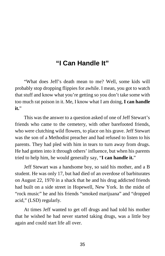# **"I Can Handle It"**

"What does Jeff's death mean to me? Well, some kids will probably stop dropping flippies for awhile. I mean, you got to watch that stuff and know what you're getting so you don't take some with too much rat poison in it. Me, I know what I am doing, **I can handle it.**"

This was the answer to a question asked of one of Jeff Stewart's friends who came to the cemetery, with other barefooted friends, who were clutching wild flowers, to place on his grave. Jeff Stewart was the son of a Methodist preacher and had refused to listen to his parents. They had pled with him in tears to turn away from drugs. He had gotten into it through others' influence, but when his parents tried to help him, he would generally say, "**I can handle it.**"

Jeff Stewart was a handsome boy, so said his mother, and a B student. He was only 17, but had died of an overdose of barbiturates on August 22, 1970 in a shack that he and his drug addicted friends had built on a side street in Hopewell, New York. In the midst of "rock music" he and his friends "smoked marijuana" and "dropped acid," (LSD) regularly.

At times Jeff wanted to get off drugs and had told his mother that he wished he had never started taking drugs, was a little boy again and could start life all over.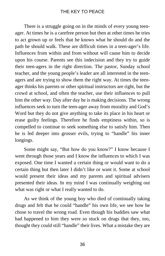There is a struggle going on in the minds of every young teenager. At times he is a carefree person but then at other times he tries to act grown up or feels that he knows what he should do and the path he should walk. These are difficult times in a teen-ager's life. Influences from within and from without will cause him to decide upon his course. Parents see this indecision and they try to guide their teen-agers in the right direction. The pastor, Sunday school teacher, and the young people's leader are all interested in the teenagers and are trying to show them the right way. At times the teenager thinks his parents or other spiritual instructors are right, but the crowd at school, and often the teacher, use their influences to pull him the other way. Day after day he is making decisions. The wrong influences seek to turn the teen-ager away from morality and God's Word but they do not give anything to take its place in his heart or erase guilty feelings. Therefore he finds emptiness within, so is compelled to continue to seek something else to satisfy him. Then he is led deeper into grosser evils, trying to "handle" his inner longings.

Some might say, "But how do you know?" I know because I went through those years and I know the influences to which I was exposed. One time I wanted a certain thing or would want to do a certain thing but then later I didn't like or want it. Some at school would present their ideas and my parents and spiritual advisers presented their ideas. In my mind I was continually weighing out what was right or what I really wanted to do.

As we think of the young boy who died of continually taking drugs and felt that he could "handle" his own life, we see how he chose to travel the wrong road. Even though his buddies saw what had happened to him they were so stuck on drugs that they, too, thought they could still "handle" their lives. What a mistake they are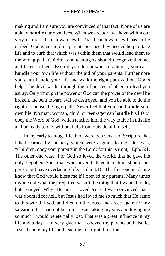making and I am sure you are convinced of that fact. None of us are able to **handle** our own lives. When we are born we have within our very nature a bent toward evil. That bent toward evil has to be curbed. God gave children parents because they needed help to face life and to curb that which was within them that would lead them to the wrong path. Children and teen-agers should recognize this fact and listen to them. Even if you do not want to admit it, you can't **handle** your own life without the aid of your parents. Furthermore you can't handle your life and walk the right path without God's help. The devil works through the influences of others to lead you astray. Only through the power of God can the power of the devil be broken, the bent toward evil be destroyed, and you be able to do the right or choose the right path. Never feel that you can **handle** your own life. No man, woman, child, or teen-ager can **handle** his life or obey the Word of God, which teaches him the way to live in this life and be ready to die, without help from outside of himself.

In my early teen-age life there were two verses of Scripture that I had learned by memory which were a guide to me. One was, "Children, obey your parents in the Lord: for this is right," Eph. 6:1. The other one was, "For God so loved the world, that he gave his only begotten Son, that whosoever believeth in him should not perish, but have everlasting life." John 3:16. The first one made me know that God would bless me if I obeyed my parents. Many times my idea of what they required wasn't the thing that I wanted to do, but I obeyed. Why? Because I loved Jesus. I was convinced that I was doomed for hell, but Jesus had loved me so much that He came to this world, lived, and died on the cross and arose again for my salvation. If it had not been for Jesus taking my sins and loving me so much I would be eternally lost. That was a great influence in my life and today I am very glad that I obeyed my parents and also let Jesus handle my life and lead me in a right direction.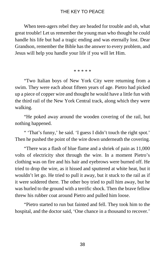When teen-agers rebel they are headed for trouble and oh, what great trouble! Let us remember the young man who thought he could handle his life but had a tragic ending and was eternally lost. Dear Grandson, remember the Bible has the answer to every problem, and Jesus will help you handle your life if you will let Him.

#### \* \* \* \* \*

"Two Italian boys of New York City were returning from a swim. They were each about fifteen years of age. Pietro had picked up a piece of copper wire and thought he would have a little fun with the third rail of the New York Central track, along which they were walking.

"He poked away around the wooden covering of the rail, but nothing happened.

" 'That's funny,' he said. 'I guess I didn't touch the right spot.' Then he pushed the point of the wire down underneath the covering.

"There was a flash of blue flame and a shriek of pain as 11,000 volts of electricity shot through the wire. In a moment Pietro's clothing was on fire and his hair and eyebrows were burned off. He tried to drop the wire, as it hissed and sputtered at white heat, but it wouldn't let go. He tried to pull it away, but it stuck to the rail as if it were soldered there. The other boy tried to pull him away, but he was hurled to the ground with a terrific shock. Then the brave fellow threw his rubber coat around Pietro and pulled him loose.

"Pietro started to run but fainted and fell. They took him to the hospital, and the doctor said, 'One chance in a thousand to recover.'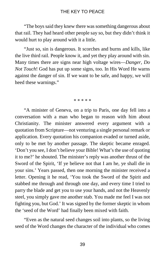"The boys said they knew there was something dangerous about that rail. They had heard other people say so, but they didn't think it would hurt to play around with it a little.

"Just so, sin is dangerous. It scorches and burns and kills, like the live third rail. People know it, and yet they play around with sin. Many times there are signs near high voltage wires—*Danger, Do Not Touch*! God has put up some signs, too. In His Word He warns against the danger of sin. If we want to be safe, and happy, we will heed these warnings."

\* \* \* \* \*

"A minister of Geneva, on a trip to Paris, one day fell into a conversation with a man who began to reason with him about Christianity. The minister answered every argument with a quotation from Scripture—not venturing a single personal remark or application. Every quotation his companion evaded or turned aside, only to be met by another passage. The skeptic became enraged. 'Don't you see, I don't believe your Bible! What's the use of quoting it to me?' he shouted. The minister's reply was another thrust of the Sword of the Spirit, 'If ye believe not that I am he, ye shall die in your sins.' Years passed, then one morning the minister received a letter. Opening it he read, 'You took the Sword of the Spirit and stabbed me through and through one day, and every time I tried to parry the blade and get you to use your hands, and not the Heavenly steel, you simply gave me another stab. You made me feel I was not fighting you, but God.' It was signed by the former skeptic in whom the 'seed of the Word' had finally been mixed with faith.

"Even as the natural seed changes soil into plants, so the living seed of the Word changes the character of the individual who comes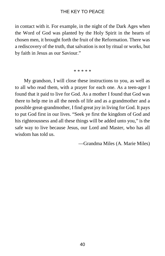in contact with it. For example, in the night of the Dark Ages when the Word of God was planted by the Holy Spirit in the hearts of chosen men, it brought forth the fruit of the Reformation. There was a rediscovery of the truth, that salvation is not by ritual or works, but by faith in Jesus as our Saviour."

\* \* \* \* \*

My grandson, I will close these instructions to you, as well as to all who read them, with a prayer for each one. As a teen-ager I found that it paid to live for God. As a mother I found that God was there to help me in all the needs of life and as a grandmother and a possible great-grandmother, I find great joy in living for God. It pays to put God first in our lives. "Seek ye first the kingdom of God and his righteousness and all these things will be added unto you," is the safe way to live because Jesus, our Lord and Master, who has all wisdom has told us.

—Grandma Miles (A. Marie Miles)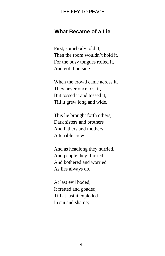#### **What Became of a Lie**

First, somebody told it, Then the room wouldn't hold it, For the busy tongues rolled it, And got it outside.

When the crowd came across it, They never once lost it, But tossed it and tossed it, Till it grew long and wide.

This lie brought forth others, Dark sisters and brothers And fathers and mothers, A terrible crew!

And as headlong they hurried, And people they flurried And bothered and worried As lies always do.

At last evil boded, It fretted and goaded, Till at last it exploded In sin and shame;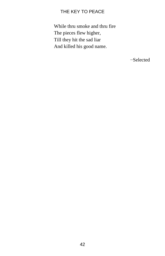While thru smoke and thru fire The pieces flew higher, Till they hit the sad liar And killed his good name.

−Selected